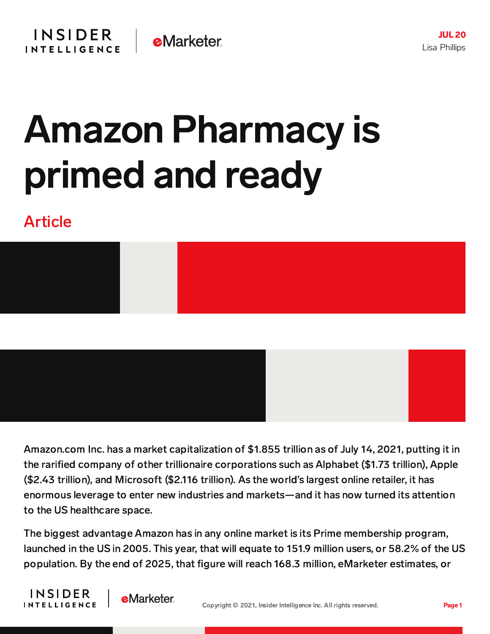## Amazon Pharmacy is primed and ready

## Article



Amazon.com Inc. has a market capitalization of \$1.855 trillion as of July 14, 2021, putting it in the rarified company of other trillionaire corporations such as Alphabet (\$1.73 trillion), Apple (\$2.43 trillion), and Microsoft (\$2.116 trillion). As the world's largest online retailer, it has enormous leverage to enter new industries and markets—and it has now turned its attention to the US healthcare space.

The biggest advantage Amazon has in any online market is its Prime membership program, launched in the US in 2005. This year, that will equate to 151.9 million users, or 58.2% of the US population. By the end of 2025, that figure will reach 168.3 million, eMarketer estimates, or



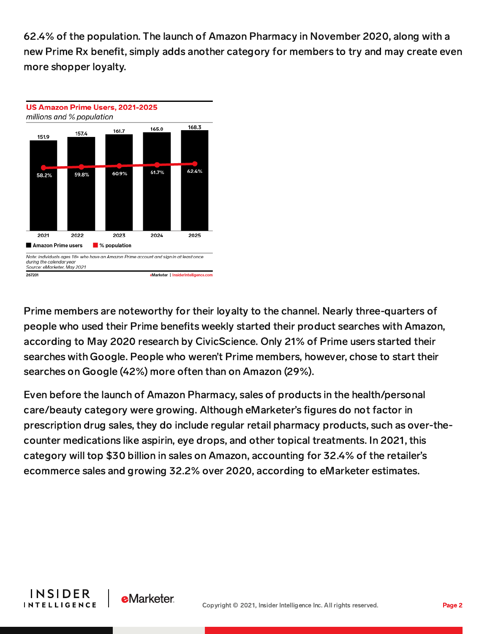62.4% of the population. The launch of Amazon Pharmacy in November 2020, along with a new Prime Rx benefit, simply adds another category for members to try and may create even more shopper loyalty.



Prime members are noteworthy for their loyalty to the channel. Nearly three-quarters of people who used their Prime benefits weekly started their product searches with Amazon, according to May 2020 research by CivicScience. Only 21% of Prime users started their searches with Google. People who weren't Prime members, however, chose to start their searches on Google (42%) more often than on Amazon (29%).

Even before the launch of Amazon Pharmacy, sales of products in the health/personal care/beauty category were growing. Although eMarketer's figures do not factor in prescription drug sales, they do include regular retail pharmacy products, such as over-thecounter medications like aspirin, eye drops, and other topical treatments. In 2021, this category will top \$30 billion in sales on Amazon, accounting for 32.4% of the retailer's ecommerce sales and growing 32.2% over 2020, according to eMarketer estimates.



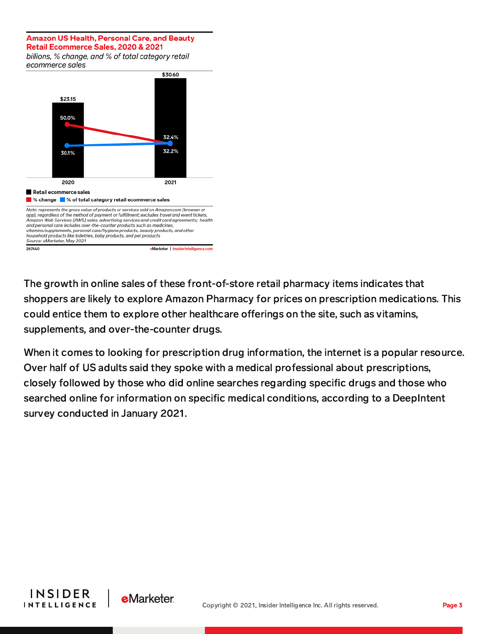## **Amazon US Health, Personal Care, and Beauty** Retail Ecommerce Sales, 2020 & 2021

billions, % change, and % of total category retail ecommerce sales



The growth in online sales of these front-of-store retail pharmacy items indicates that shoppers are likely to explore Amazon Pharmacy for prices on prescription medications. This could entice them to explore other healthcare offerings on the site, such as vitamins, supplements, and over-the-counter drugs.

When it comes to looking for prescription drug information, the internet is a popular resource. Over half of US adults said they spoke with a medical professional about prescriptions, closely followed by those who did online searches regarding specific drugs and those who searched online for information on specific medical conditions, according to a DeepIntent survey conducted in January 2021.